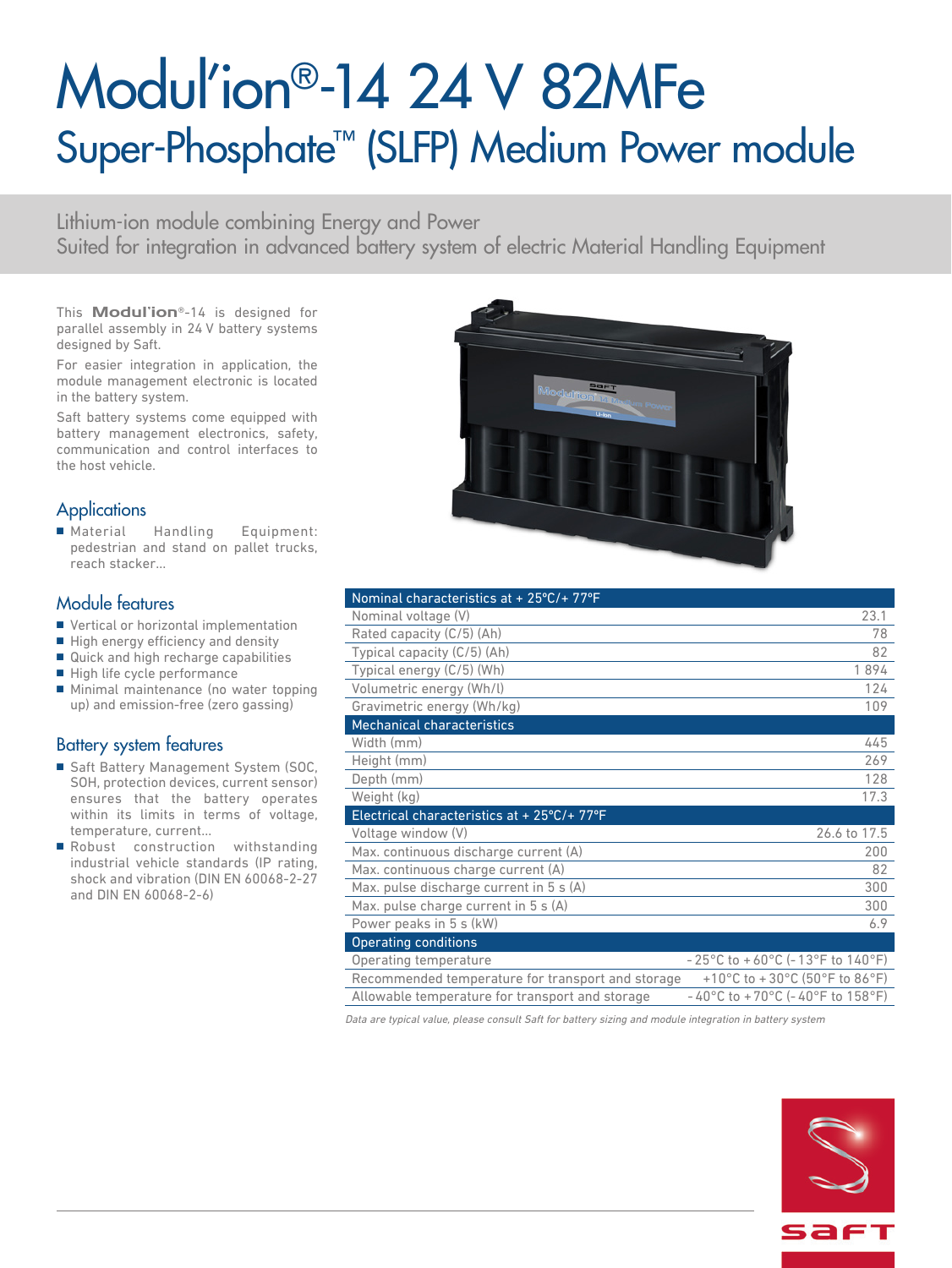# Modul'ion®-14 24 V 82MFe Super-Phosphate™ (SLFP) Medium Power module

Lithium-ion module combining Energy and Power Suited for integration in advanced battery system of electric Material Handling Equipment

This **Modul'ion**®-14 is designed for parallel assembly in 24 V battery systems designed by Saft.

For easier integration in application, the module management electronic is located in the battery system.

Saft battery systems come equipped with battery management electronics, safety, communication and control interfaces to the host vehicle.

## **Applications**

■ Material Handling Equipment: pedestrian and stand on pallet trucks, reach stacker…

#### Module features

- Vertical or horizontal implementation
- High energy efficiency and density
- Quick and high recharge capabilities
- High life cycle performance
- Minimal maintenance (no water topping up) and emission-free (zero gassing)

## Battery system features

- Saft Battery Management System (SOC, SOH, protection devices, current sensor) ensures that the battery operates within its limits in terms of voltage, temperature, current...
- Robust construction withstanding industrial vehicle standards (IP rating, shock and vibration (DIN EN 60068-2-27 and DIN EN 60068-2-6)



| Nominal characteristics at + 25°C/+ 77°F          |                                                                            |
|---------------------------------------------------|----------------------------------------------------------------------------|
| Nominal voltage (V)                               | 23.1                                                                       |
| Rated capacity (C/5) (Ah)                         | 78                                                                         |
| Typical capacity (C/5) (Ah)                       | 82                                                                         |
| Typical energy (C/5) (Wh)                         | 1894                                                                       |
| Volumetric energy (Wh/l)                          | 124                                                                        |
| Gravimetric energy (Wh/kg)                        | 109                                                                        |
| <b>Mechanical characteristics</b>                 |                                                                            |
| Width (mm)                                        | 445                                                                        |
| Height (mm)                                       | 269                                                                        |
| Depth (mm)                                        | 128                                                                        |
| Weight (kg)                                       | 17.3                                                                       |
| Electrical characteristics at + 25°C/+ 77°F       |                                                                            |
| Voltage window (V)                                | 26.6 to 17.5                                                               |
| Max. continuous discharge current (A)             | 200                                                                        |
| Max. continuous charge current (A)                | 82                                                                         |
| Max. pulse discharge current in 5 s (A)           | 300                                                                        |
| Max. pulse charge current in 5 s (A)              | 300                                                                        |
| Power peaks in 5 s (kW)                           | 6.9                                                                        |
| <b>Operating conditions</b>                       |                                                                            |
| Operating temperature                             | $-25^{\circ}$ C to $+60^{\circ}$ C (-13°F to 140°F)                        |
| Recommended temperature for transport and storage | +10°C to +30°C (50°F to 86°F)                                              |
| Allowable temperature for transport and storage   | $-40^{\circ}$ C to +70 $^{\circ}$ C (-40 $^{\circ}$ F to 158 $^{\circ}$ F) |

Data are typical value, please consult Saft for battery sizing and module integration in battery system